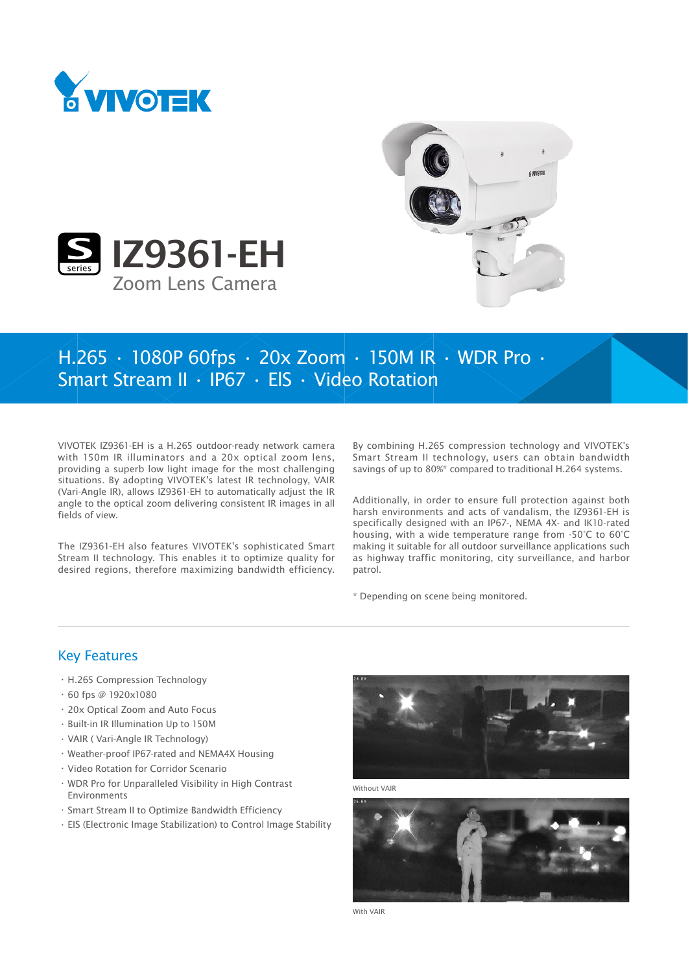





## H.265 • 1080P 60fps • 20x Zoom • 150M IR • WDR Pro • Smart Stream II • IP67 • ElS • Video Rotation

VIVOTEK IZ9361-EH is a H.265 outdoor-ready network camera with 150m IR illuminators and a 20x optical zoom lens, providing a superb low light image for the most challenging situations. By adopting VIVOTEK's latest IR technology, VAIR (Vari-Angle IR), allows IZ9361-EH to automatically adjust the IR angle to the optical zoom delivering consistent IR images in all fields of view.

The IZ9361-EH also features VIVOTEK's sophisticated Smart Stream II technology. This enables it to optimize quality for desired regions, therefore maximizing bandwidth efficiency. By combining H.265 compression technology and VIVOTEK's Smart Stream II technology, users can obtain bandwidth savings of up to 80%\* compared to traditional H.264 systems.

Additionally, in order to ensure full protection against both harsh environments and acts of vandalism, the IZ9361-EH is specifically designed with an IP67-, NEMA 4X- and IK10-rated housing, with a wide temperature range from -50°C to 60°C making it suitable for all outdoor surveillance applications such as highway traffic monitoring, city surveillance, and harbor patrol.

\* Depending on scene being monitored.

## Key Features

- • H.265 Compression Technology
- $\cdot$  60 fps @ 1920x1080
- • 20x Optical Zoom and Auto Focus
- • Built-in IR Illumination Up to 150M
- • VAIR ( Vari-Angle IR Technology)
- • Weather-proof IP67-rated and NEMA4X Housing
- • Video Rotation for Corridor Scenario
- • WDR Pro for Unparalleled Visibility in High Contrast Environments
- • Smart Stream II to Optimize Bandwidth Efficiency
- • EIS (Electronic Image Stabilization) to Control Image Stability



Without VAIR



With VAIR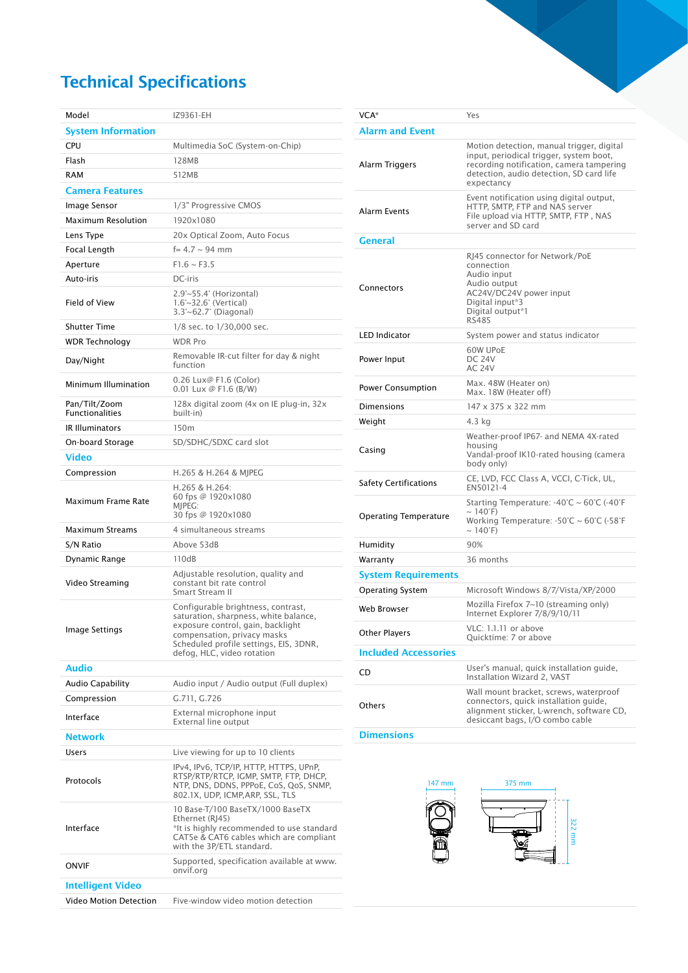## Technical Specifications

| Model                                   | IZ9361-EH                                                                                                                                                                                                               |
|-----------------------------------------|-------------------------------------------------------------------------------------------------------------------------------------------------------------------------------------------------------------------------|
| <b>System Information</b>               |                                                                                                                                                                                                                         |
| CPU                                     | Multimedia SoC (System-on-Chip)                                                                                                                                                                                         |
| Flash                                   | 128MB                                                                                                                                                                                                                   |
| <b>RAM</b>                              | 512MB                                                                                                                                                                                                                   |
| <b>Camera Features</b>                  |                                                                                                                                                                                                                         |
| Image Sensor                            | 1/3" Progressive CMOS                                                                                                                                                                                                   |
| <b>Maximum Resolution</b>               | 1920x1080                                                                                                                                                                                                               |
| Lens Type                               | 20x Optical Zoom, Auto Focus                                                                                                                                                                                            |
| Focal Length                            | $f = 4.7 \sim 94$ mm                                                                                                                                                                                                    |
| Aperture                                | $F1.6 \sim F3.5$                                                                                                                                                                                                        |
| Auto-iris                               | DC-iris                                                                                                                                                                                                                 |
| Field of View                           | 2.9°~55.4° (Horizontal)<br>$1.6^{\circ}$ ~32.6 $^{\circ}$ (Vertical)<br>$3.3^{\circ}$ ~62.7° (Diagonal)                                                                                                                 |
| <b>Shutter Time</b>                     | 1/8 sec. to 1/30,000 sec.                                                                                                                                                                                               |
| <b>WDR Technology</b>                   | <b>WDR Pro</b>                                                                                                                                                                                                          |
| Day/Night                               | Removable IR-cut filter for day & night<br>function                                                                                                                                                                     |
| Minimum Illumination                    | 0.26 Lux@ F1.6 (Color)<br>$0.01$ Lux @ F1.6 (B/W)                                                                                                                                                                       |
| Pan/Tilt/Zoom<br><b>Functionalities</b> | 128x digital zoom (4x on IE plug-in, 32x<br>built-in)                                                                                                                                                                   |
| <b>IR Illuminators</b>                  | 150m                                                                                                                                                                                                                    |
| On-board Storage                        | SD/SDHC/SDXC card slot                                                                                                                                                                                                  |
| <b>Video</b>                            |                                                                                                                                                                                                                         |
| Compression                             | H.265 & H.264 & MJPEG                                                                                                                                                                                                   |
| Maximum Frame Rate                      | H.265 & H.264:<br>60 fps @ 1920x1080<br>MIPEG:<br>30 fps @ 1920x1080                                                                                                                                                    |
| Maximum Streams                         | 4 simultaneous streams                                                                                                                                                                                                  |
| S/N Ratio                               | Above 53dB                                                                                                                                                                                                              |
| Dynamic Range                           | 110dB                                                                                                                                                                                                                   |
| Video Streaming                         | Adjustable resolution, quality and<br>constant bit rate control<br>Smart Stream II                                                                                                                                      |
| Image Settings                          | Configurable brightness, contrast,<br>saturation, sharpness, white balance,<br>exposure control, gain, backlight<br>compensation, privacy masks<br>Scheduled profile settings, EIS, 3DNR,<br>defog, HLC, video rotation |
| <b>Audio</b>                            |                                                                                                                                                                                                                         |
| <b>Audio Capability</b>                 | Audio input / Audio output (Full duplex)                                                                                                                                                                                |
| Compression<br>Interface                | G.711, G.726<br>External microphone input                                                                                                                                                                               |
|                                         | External line output                                                                                                                                                                                                    |
| Network                                 |                                                                                                                                                                                                                         |
| Users                                   | Live viewing for up to 10 clients                                                                                                                                                                                       |
| Protocols                               | IPv4, IPv6, TCP/IP, HTTP, HTTPS, UPnP,<br>RTSP/RTP/RTCP, IGMP, SMTP, FTP, DHCP,<br>NTP, DNS, DDNS, PPPoE, CoS, QoS, SNMP,<br>802.1X, UDP, ICMP, ARP, SSL, TLS                                                           |
| Interface                               | 10 Base-T/100 BaseTX/1000 BaseTX<br>Ethernet (RJ45)<br>*It is highly recommended to use standard<br>CAT5e & CAT6 cables which are compliant<br>with the 3P/ETL standard.                                                |
| <b>ONVIF</b>                            | Supported, specification available at www.<br>onvif.org                                                                                                                                                                 |
| <b>Intelligent Video</b>                |                                                                                                                                                                                                                         |
| <b>Video Motion Detection</b>           | Five-window video motion detection                                                                                                                                                                                      |

| VCA*                         | Yes                                                                                                                                                                                                     |
|------------------------------|---------------------------------------------------------------------------------------------------------------------------------------------------------------------------------------------------------|
| <b>Alarm and Event</b>       |                                                                                                                                                                                                         |
| Alarm Triggers               | Motion detection, manual trigger, digital<br>input, periodical trigger, system boot,<br>recording notification, camera tampering<br>detection, audio detection, SD card life<br>expectancy              |
| <b>Alarm Events</b>          | Event notification using digital output,<br>HTTP, SMTP, FTP and NAS server<br>File upload via HTTP, SMTP, FTP, NAS<br>server and SD card                                                                |
| <b>General</b>               |                                                                                                                                                                                                         |
| Connectors                   | RJ45 connector for Network/PoE<br>connection<br>Audio input<br>Audio output<br>AC24V/DC24V power input<br>Digital input*3<br>Digital output*1<br><b>RS485</b>                                           |
| <b>LED Indicator</b>         | System power and status indicator                                                                                                                                                                       |
| Power Input                  | 60W UPoE<br><b>DC 24V</b><br><b>AC 24V</b>                                                                                                                                                              |
| <b>Power Consumption</b>     | Max. 48W (Heater on)<br>Max. 18W (Heater off)                                                                                                                                                           |
| <b>Dimensions</b>            | 147 x 375 x 322 mm                                                                                                                                                                                      |
| Weight                       | 4.3 kg                                                                                                                                                                                                  |
| Casing                       | Weather-proof IP67- and NEMA 4X-rated<br>housing<br>Vandal-proof IK10-rated housing (camera<br>body only)                                                                                               |
| Safety Certifications        | CE, LVD, FCC Class A, VCCI, C-Tick, UL,<br>EN50121-4                                                                                                                                                    |
| <b>Operating Temperature</b> | Starting Temperature: $-40^{\circ}$ C ~ 60 $^{\circ}$ C ( $-40^{\circ}$ F<br>$\sim 140^{\circ}$ F)<br>Working Temperature: $-50^{\circ}$ C ~ 60 $^{\circ}$ C ( $-58^{\circ}$ F<br>$\sim 140^{\circ}$ F) |
| Humidity                     | 90%                                                                                                                                                                                                     |
| Warranty                     | 36 months                                                                                                                                                                                               |
| <b>System Requirements</b>   |                                                                                                                                                                                                         |
| <b>Operating System</b>      | Microsoft Windows 8/7/Vista/XP/2000                                                                                                                                                                     |
| Web Browser                  | Mozilla Firefox 7~10 (streaming only)<br>Internet Explorer 7/8/9/10/11                                                                                                                                  |
| <b>Other Players</b>         | VLC: 1.1.11 or above<br>Quicktime: 7 or above                                                                                                                                                           |
| <b>Included Accessories</b>  |                                                                                                                                                                                                         |
| CD                           | User's manual, quick installation guide,<br>Installation Wizard 2, VAST                                                                                                                                 |
| Others                       | Wall mount bracket, screws, waterproof<br>connectors, quick installation guide,<br>alignment sticker, L-wrench, software CD,<br>desiccant bags, I/O combo cable                                         |

**Dimensions**